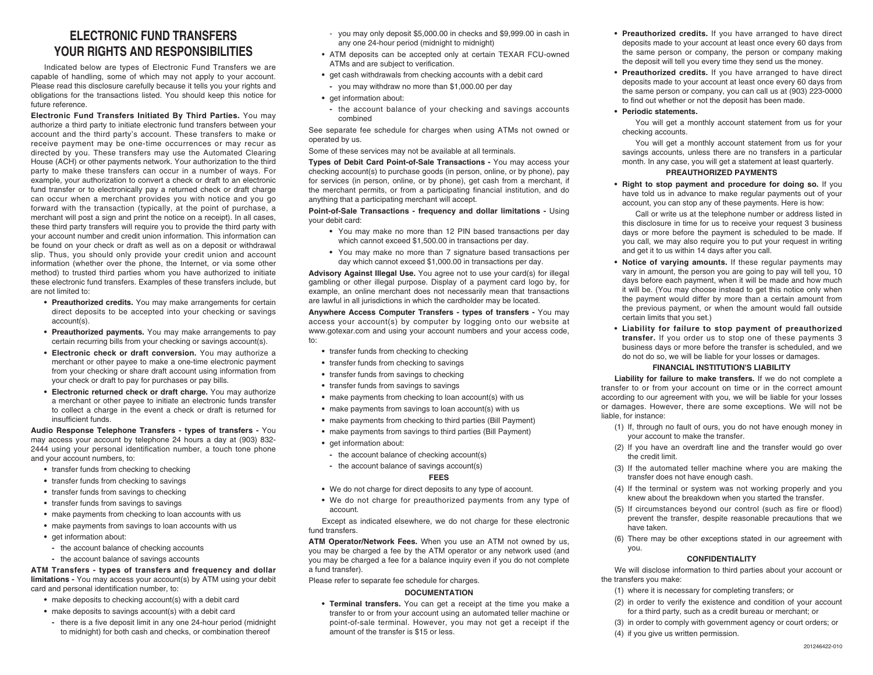# **ELECTRONIC FUND TRANSFERS YOUR RIGHTS AND RESPONSIBILITIES**

Indicated below are types of Electronic Fund Transfers we are capable of handling, some of which may not apply to your account. Please read this disclosure carefully because it tells you your rights and obligations for the transactions listed. You should keep this notice for future reference.

**Electronic Fund Transfers Initiated By Third Parties.** You may authorize a third party to initiate electronic fund transfers between your account and the third party's account. These transfers to make or receive payment may be one-time occurrences or may recur as directed by you. These transfers may use the Automated Clearing House (ACH) or other payments network. Your authorization to the third party to make these transfers can occur in a number of ways. For example, your authorization to convert a check or draft to an electronic fund transfer or to electronically pay a returned check or draft charge can occur when a merchant provides you with notice and you go forward with the transaction (typically, at the point of purchase, a merchant will post a sign and print the notice on a receipt). In all cases, these third party transfers will require you to provide the third party with your account number and credit union information. This information can be found on your check or draft as well as on a deposit or withdrawal slip. Thus, you should only provide your credit union and account information (whether over the phone, the Internet, or via some other method) to trusted third parties whom you have authorized to initiate these electronic fund transfers. Examples of these transfers include, but are not limited to:

- **Preauthorized credits.** You may make arrangements for certain direct deposits to be accepted into your checking or savings account(s).
- **Preauthorized payments.** You may make arrangements to pay certain recurring bills from your checking or savings account(s).
- **Electronic check or draft conversion.** You may authorize a merchant or other payee to make a one-time electronic payment from your checking or share draft account using information from your check or draft to pay for purchases or pay bills.
- **Electronic returned check or draft charge.** You may authorize a merchant or other payee to initiate an electronic funds transfer to collect a charge in the event a check or draft is returned for insufficient funds.

**Audio Response Telephone Transfers - types of transfers -** You may access your account by telephone 24 hours a day at (903) 832- 2444 using your personal identification number, a touch tone phone and your account numbers, to:

- **•** transfer funds from checking to checking
- **•** transfer funds from checking to savings
- **•** transfer funds from savings to checking
- **•** transfer funds from savings to savings
- **•** make payments from checking to loan accounts with us
- **•** make payments from savings to loan accounts with us
- **•** get information about:
	- **-** the account balance of checking accounts
	- **-** the account balance of savings accounts

## **ATM Transfers - types of transfers and frequency and dollar limitations -** You may access your account(s) by ATM using your debit card and personal identification number, to:

- **•** make deposits to checking account(s) with a debit card
- **•** make deposits to savings account(s) with a debit card
- **-** there is a five deposit limit in any one 24-hour period (midnight to midnight) for both cash and checks, or combination thereof
- you may only deposit \$5,000.00 in checks and \$9,999.00 in cash in any one 24-hour period (midnight to midnight)
- ATM deposits can be accepted only at certain TEXAR FCU-owned ATMs and are subject to verification.
- **•** get cash withdrawals from checking accounts with a debit card
	- **-** you may withdraw no more than \$1,000.00 per day
- **•** get information about:
- **-** the account balance of your checking and savings accounts combined

See separate fee schedule for charges when using ATMs not owned or operated by us.

Some of these services may not be available at all terminals.

**Types of Debit Card Point-of-Sale Transactions -** You may access your checking account(s) to purchase goods (in person, online, or by phone), pay for services (in person, online, or by phone), get cash from a merchant, if the merchant permits, or from a participating financial institution, and do anything that a participating merchant will accept.

**Point-of-Sale Transactions - frequency and dollar limitations -** Using your debit card:

- **•** You may make no more than 12 PIN based transactions per day which cannot exceed \$1,500.00 in transactions per day.
- **•** You may make no more than 7 signature based transactions per day which cannot exceed \$1,000.00 in transactions per day.

**Advisory Against Illegal Use.** You agree not to use your card(s) for illegal gambling or other illegal purpose. Display of a payment card logo by, for example, an online merchant does not necessarily mean that transactions are lawful in all jurisdictions in which the cardholder may be located.

**Anywhere Access Computer Transfers - types of transfers -** You may access your account(s) by computer by logging onto our website at www.gotexar.com and using your account numbers and your access code, to:

- **•** transfer funds from checking to checking
- **•** transfer funds from checking to savings
- **•** transfer funds from savings to checking
- **•** transfer funds from savings to savings
- **•** make payments from checking to loan account(s) with us
- **•** make payments from savings to loan account(s) with us
- **•** make payments from checking to third parties (Bill Payment)
- **•** make payments from savings to third parties (Bill Payment)
- **•** get information about:
- **-** the account balance of checking account(s)
- **-** the account balance of savings account(s)

#### **FEES**

- **•** We do not charge for direct deposits to any type of account.
- **•** We do not charge for preauthorized payments from any type of account.

Except as indicated elsewhere, we do not charge for these electronic fund transfers.

**ATM Operator/Network Fees.** When you use an ATM not owned by us, you may be charged a fee by the ATM operator or any network used (and you may be charged a fee for a balance inquiry even if you do not complete a fund transfer).

Please refer to separate fee schedule for charges.

# **DOCUMENTATION**

**• Terminal transfers.** You can get a receipt at the time you make a transfer to or from your account using an automated teller machine or point-of-sale terminal. However, you may not get a receipt if the amount of the transfer is \$15 or less.

- **Preauthorized credits.** If you have arranged to have direct deposits made to your account at least once every 60 days from the same person or company, the person or company making the deposit will tell you every time they send us the money.
- **Preauthorized credits.** If you have arranged to have direct deposits made to your account at least once every 60 days from the same person or company, you can call us at (903) 223-0000 to find out whether or not the deposit has been made.

#### **• Periodic statements.**

You will get a monthly account statement from us for your checking accounts.

You will get a monthly account statement from us for your savings accounts, unless there are no transfers in a particular month. In any case, you will get a statement at least quarterly.

#### **PREAUTHORIZED PAYMENTS**

**• Right to stop payment and procedure for doing so.** If you have told us in advance to make regular payments out of your account, you can stop any of these payments. Here is how:

Call or write us at the telephone number or address listed in this disclosure in time for us to receive your request 3 business days or more before the payment is scheduled to be made. If you call, we may also require you to put your request in writing and get it to us within 14 days after you call.

- **Notice of varying amounts.** If these regular payments may vary in amount, the person you are going to pay will tell you, 10 days before each payment, when it will be made and how much it will be. (You may choose instead to get this notice only when the payment would differ by more than a certain amount from the previous payment, or when the amount would fall outside certain limits that you set.)
- **Liability for failure to stop payment of preauthorized transfer.** If you order us to stop one of these payments 3 business days or more before the transfer is scheduled, and we do not do so, we will be liable for your losses or damages.

# **FINANCIAL INSTITUTION'S LIABILITY**

**Liability for failure to make transfers.** If we do not complete a transfer to or from your account on time or in the correct amount according to our agreement with you, we will be liable for your losses or damages. However, there are some exceptions. We will not be liable, for instance:

- (1) If, through no fault of ours, you do not have enough money in your account to make the transfer.
- (2) If you have an overdraft line and the transfer would go over the credit limit.
- (3) If the automated teller machine where you are making the transfer does not have enough cash.
- (4) If the terminal or system was not working properly and you knew about the breakdown when you started the transfer.
- (5) If circumstances beyond our control (such as fire or flood) prevent the transfer, despite reasonable precautions that we have taken.
- (6) There may be other exceptions stated in our agreement with you.

#### **CONFIDENTIALITY**

We will disclose information to third parties about your account or the transfers you make:

- (1) where it is necessary for completing transfers; or
- (2) in order to verify the existence and condition of your account for a third party, such as a credit bureau or merchant; or
- (3) in order to comply with government agency or court orders; or
- (4) if you give us written permission.